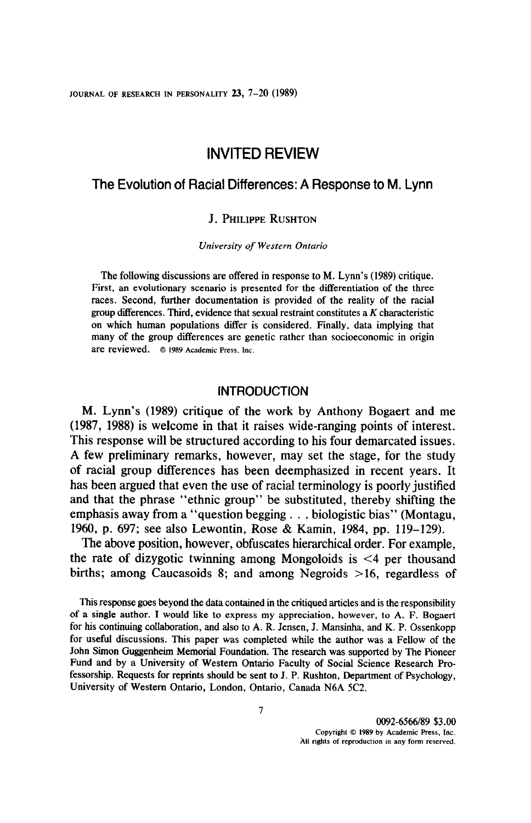# INVITED REVIEW

# The Evolution of Racial Differences: A Response to M. Lynn

### J. PHILIPPE RUSHTON

#### University of Western Ontario

The following discussions are offered in response to M. Lynn's (1989) critique. First, an evolutionary scenario is presented for the differentiation of the three races. Second, further documentation is provided of the reality of the racial group differences. Third, evidence that sexual restraint constitutes a  $K$  characteristic on which human populations differ is considered. Finally, data implying that many of the group differences are genetic rather than socioeconomic in origin are reviewed. © 1989 Academic Press. Inc.

### INTRODUCTION

M. Lynn's (1989) critique of the work by Anthony Bogaert and me (1987, 1988) is welcome in that it raises wide-ranging points of interest. This response will be structured according to his four demarcated issues. A few preliminary remarks, however, may set the stage, for the study of racial group differences has been deemphasized in recent years. It has been argued that even the use of racial terminology is poorly justified and that the phrase "ethnic group" be substituted, thereby shifting the emphasis away from a "question begging . . , biologistic bias" (Montagu, 1960, p. 697; see also Lewontin, Rose & Kamin, 1984, pp. 119-129).

The above position, however, obfuscates hierarchical order. For example, the rate of dizygotic twinning among Mongoloids is <4 per thousand births; among Caucasoids 8; and among Negroids >16, regardless of

This response goes beyond the data contained in the critiqued articles and is the responsibility , This response goes beyond the data condition in the critiqued articles and is the responsibility of a single author. I would like to express my appreciation, however, to A. F. Bogaert for his continuing collaboration, and also to A. R. Jensen, J. Mansinha, and K. P. Ossenkopp for useful discussions. This paper was completed while the author was a Fellow of the for ascur discussions. This paper was completed with the author was a Fellow of the Fund support Guggerment Memorial Foundation. The research was supported by The Fionee Fund and by a University of Western Ontario Faculty of Social Science Research Professorship. Requests for reprints should be sent to J. P. Rushton, Department of Psychology,<br>University of Western Ontario, London, Ontario, Canada N6A 5C2.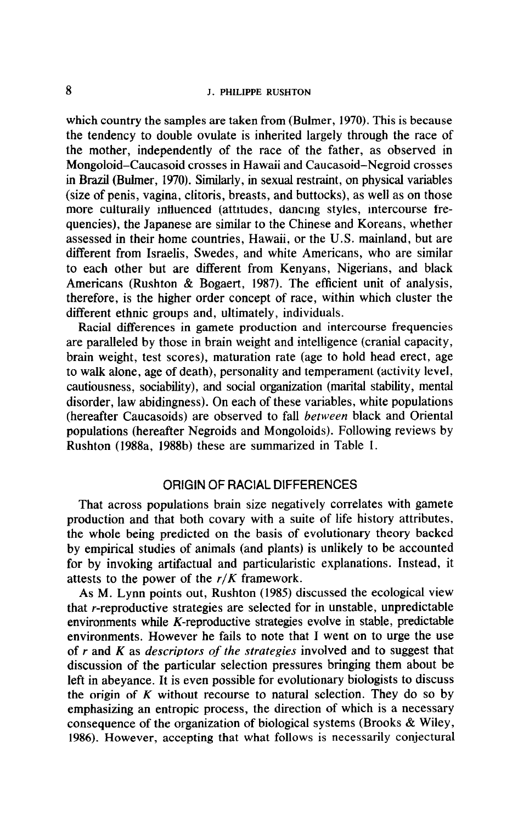which country the samples are taken from (Bulmer, 1970). This is because the tendency to double ovulate is inherited largely through the race of the mother, independently of the race of the father, as observed in Mongoloid-Caucasoid crosses in Hawaii and Caucasoid-Negroid crosses in Brazil (Buhner, 1970). Similarly, in sexual restraint, on physical variables (size of penis, vagina, clitoris, breasts, and buttocks), as well as on those more culturally influenced (attitudes, dancing styles, intercourse frequencies), the Japanese are similar to the Chinese and Koreans, whether assessed in their home countries, Hawaii, or the U.S. mainland, but are different from Israelis, Swedes, and white Americans, who are similar to each other but are different from Kenyans, Nigerians, and black Americans (Rushton & Bogaert, 1987). The efficient unit of analysis, therefore, is the higher order concept of race, within which cluster the different ethnic groups and, ultimately, individuals.

Racial differences in gamete production and intercourse frequencies are paralleled by those in brain weight and intelligence (cranial capacity, brain weight, test scores), maturation rate (age to hold head erect, age to walk alone, age of death), personality and temperament (activity level, cautiousness, sociability), and social organization (marital stability, mental disorder, law abidingness). On each of these variables, white populations (hereafter Caucasoids) are observed to fall between black and Oriental populations (hereafter Negroids and Mongoloids). Following reviews by Rushton (1988a, 1988b) these are summarized in Table 1.

# ORIGIN OF RACIAL DIFFERENCES

That across populations brain size negatively correlates with gamete production and that both covary with a suite of life history attributes, the whole being predicted on the basis of evolutionary theory backed by empirical studies of animals (and plants) is unlikely to be accounted for by invoking artifactual and particularistic explanations. Instead, it attests to the power of the  $r/K$  framework.

As M. Lynn points out, Rushton (1985) discussed the ecological view that r-reproductive strategies are selected for in unstable, unpredictable environments while K-reproductive strategies evolve in stable, predictable environments. However he fails to note that I went on to urge the use of  $r$  and  $K$  as *descriptors of the strategies* involved and to suggest that discussion of the particular selection pressures bringing them about be left in abeyance. It is even possible for evolutionary biologists to discuss the origin of  $K$  without recourse to natural selection. They do so by emphasizing an entropic process, the direction of which is a necessary consequence of the organization of biological systems (Brooks & Wiley, 1986). However, accepting that what follows is necessarily conjectural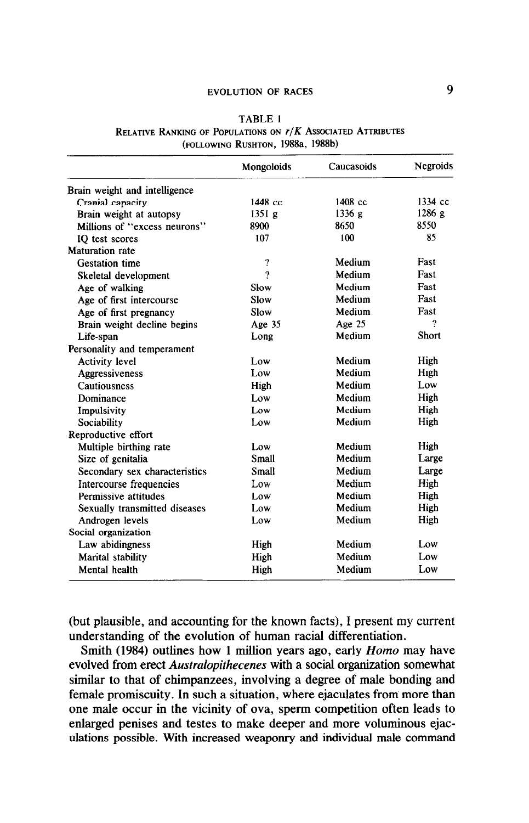# EVOLUTION OF RACES 9

|                               | Mongoloids | Caucasoids | <b>Negroids</b> |
|-------------------------------|------------|------------|-----------------|
| Brain weight and intelligence |            |            |                 |
| Cranial capacity              | 1448 cc    | 1408 cc    | 1334 cc         |
| Brain weight at autopsy       | 1351g      | 1336 g     | 1286g           |
| Millions of "excess neurons"  | 8900       | 8650       | 8550            |
| IO test scores                | 107        | 100        | 85              |
| <b>Maturation</b> rate        |            |            |                 |
| <b>Gestation</b> time         | $\gamma$   | Medium     | Fast            |
| Skeletal development          | 9          | Medium     | Fast            |
| Age of walking                | Slow       | Medium     | Fast            |
| Age of first intercourse      | Slow       | Medium     | Fast            |
| Age of first pregnancy        | Slow       | Medium     | Fast            |
| Brain weight decline begins   | Age 35     | Age 25     | 9               |
| Life-span                     | Long       | Medium     | Short           |
| Personality and temperament   |            |            |                 |
| <b>Activity level</b>         | Low        | Medium     | High            |
| Aggressiveness                | Low        | Medium     | High            |
| <b>Cautiousness</b>           | High       | Medium     | Low             |
| Dominance                     | Low        | Medium     | High            |
| Impulsivity                   | Low        | Medium     | High            |
| Sociability                   | Low        | Medium     | High            |
| Reproductive effort           |            |            |                 |
| Multiple birthing rate        | Low        | Medium     | High            |
| Size of genitalia             | Small      | Medium     | Large           |
| Secondary sex characteristics | Small      | Medium     | Large           |
| Intercourse frequencies       | Low        | Medium     | High            |
| Permissive attitudes          | Low        | Medium     | High            |
| Sexually transmitted diseases | Low        | Medium     | High            |
| Androgen levels               | Low        | Medium     | High            |
| Social organization           |            |            |                 |
| Law abidingness               | High       | Medium     | Low             |
| Marital stability             | High       | Medium     | Low             |
| Mental health                 | High       | Medium     | Low             |

TABLE 1 RELATIVE RANKING OF POPULATIONS ON  $r/K$  Associated Attributes (FOLLOWING RUSHTON, 1988a, 1988b)

(but plausible, and accounting for the known facts), I present my current understanding of the evolution of human racial differentiation.

Smith (1984) outlines how 1 million years ago, early *Homo* may have evolved from erect Australopithecenes with a social organization somewhat similar to that of chimpanzees, involving a degree of male bonding and female promiscuity. In such a situation, where ejaculates from more than one male occur in the vicinity of ova, sperm competition often leads to enlarged penises and testes to make deeper and more voluminous ejaculations possible. With increased weaponry and individual male command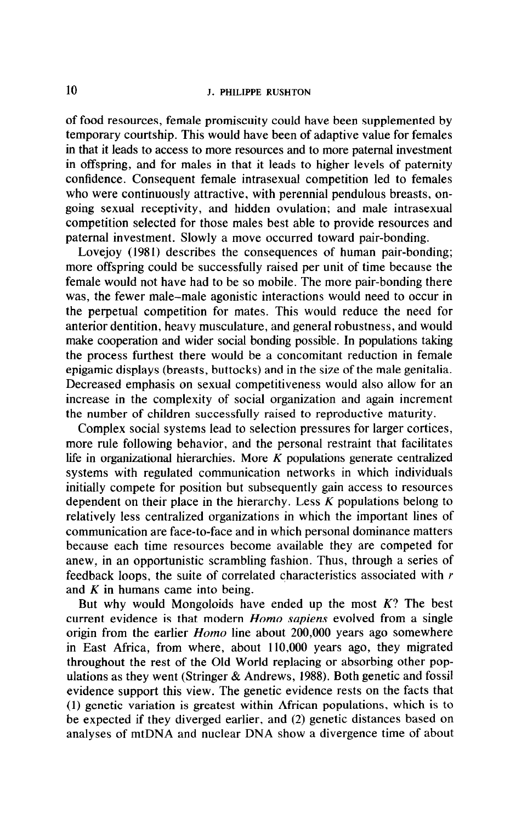of food resources, female promiscuity could have been supplemented by temporary courtship. This would have been of adaptive value for females in that it leads to access to more resources and to more paternal investment in offspring, and for males in that it leads to higher levels of paternity confidence. Consequent female intrasexual competition led to females who were continuously attractive, with perennial pendulous breasts, ongoing sexual receptivity, and hidden ovulation; and male intrasexual competition selected for those males best able to provide resources and paternal investment. Slowly a move occurred toward pair-bonding.

Lovejoy (1981) describes the consequences of human pair-bonding; more offspring could be successfully raised per unit of time because the female would not have had to be so mobile. The more pair-bonding there was, the fewer male-male agonistic interactions would need to occur in the perpetual competition for mates. This would reduce the need for anterior dentition, heavy musculature, and general robustness, and would make cooperation and wider social bonding possible. In populations taking the process furthest there would be a concomitant reduction in female epigamic displays (breasts, buttocks) and in the size of the male genitalia. Decreased emphasis on sexual competitiveness would also allow for an increase in the complexity of social organization and again increment the number of children successfully raised to reproductive maturity.

Complex social systems lead to selection pressures for larger cortices, more rule following behavior, and the personal restraint that facilitates life in organizational hierarchies. More  $K$  populations generate centralized systems with regulated communication networks in which individuals initially compete for position but subsequently gain access to resources dependent on their place in the hierarchy. Less  $K$  populations belong to relatively less centralized organizations in which the important lines of communication are face-to-face and in which personal dominance matters because each time resources become available they are competed for anew, in an opportunistic scrambling fashion. Thus, through a series of feedback loops, the suite of correlated characteristics associated with  $r$ and  $K$  in humans came into being.

But why would Mongoloids have ended up the most  $K$ ? The best current evidence is that modern *Homo sapiens* evolved from a single origin from the earlier *Homo* line about 200,000 years ago somewhere in East Africa, from where, about 110,000 years ago, they migrated throughout the rest of the Old World replacing or absorbing other populations as they went (Stringer & Andrews, 1988). Both genetic and fossil evidence support this view. The genetic evidence rests on the facts that (1) genetic variation is greatest within African populations, which is to be expected if they diverged earlier. and (2) genetic distances based on analyses of mtDNA and nuclear DNA show a divergence time of about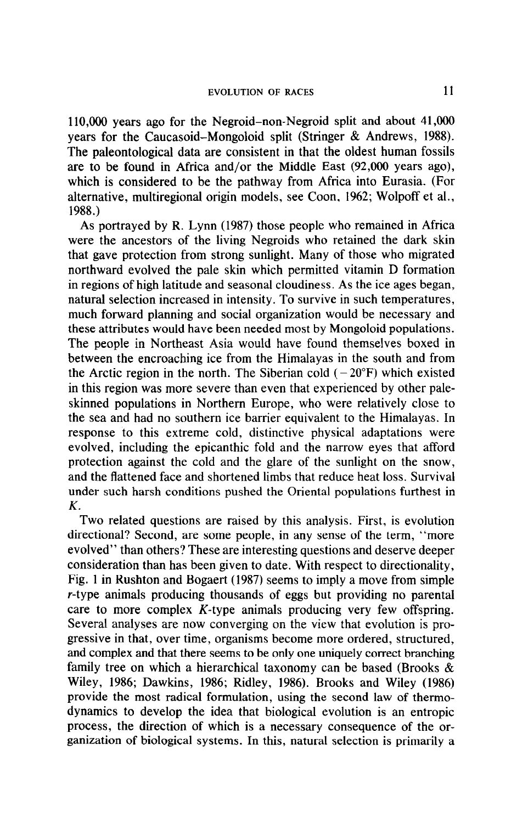110,000 years ago for the Negroid-non-Negroid split and about 41,000 years for the Caucasoid-Mongoloid split (Stringer & Andrews, 1988). The paleontological data are consistent in that the oldest human fossils are to be found in Africa and/or the Middle East (92,000 years ago), which is considered to be the pathway from Africa into Eurasia. (For alternative, multiregional origin models, see Coon, 1962; Wolpoff et al., 1988.)

As portrayed by R. Lynn (1987) those people who remained in Africa were the ancestors of the living Negroids who retained the dark skin that gave protection from strong sunlight. Many of those who migrated northward evolved the pale skin which permitted vitamin D formation in regions of high latitude and seasonal cloudiness. As the ice ages began, natural selection increased in intensity. To survive in such temperatures, much forward planning and social organization would be necessary and these attributes would have been needed most by Mongoloid populations. The people in Northeast Asia would have found themselves boxed in between the encroaching ice from the Himalayas in the south and from the Arctic region in the north. The Siberian cold  $(-20^{\circ}F)$  which existed in this region was more severe than even that experienced by other paleskinned populations in Northern Europe, who were relatively close to the sea and had no southern ice barrier equivalent to the Himalayas. In response to this extreme cold, distinctive physical adaptations were evolved, including the epicanthic fold and the narrow eyes that afford protection against the cold and the glare of the sunlight on the snow, and the flattened face and shortened limbs that reduce heat loss. Survival under such harsh conditions pushed the Oriental populations furthest in K.

Two related questions are raised by this analysis. First, is evolution directional? Second, are some people, in any sense of the term, "more evolved" than others? These are interesting questions and deserve deeper consideration than has been given to date. With respect to directionality, Fig. 1 in Rushton and Bogaert (1987) seems to imply a move from simple r-type animals producing thousands of eggs but providing no parental care to more complex K-type animals producing very few offspring. Several analyses are now converging on the view that evolution is progressive in that, over time, organisms become more ordered, structured, and complex and that there seems to be only one uniquely correct branching family tree on which a hierarchical taxonomy can be based (Brooks & Wiley, 1986; Dawkins, 1986; Ridley, 1986). Brooks and Wiley (1986) provide the most radical formulation, using the second law of thermodynamics to develop the idea that biological evolution is an entropic process to direction of which is a necessary consequence of the original consequence of the original consequence of the original consequence of the original consequence of the original consequence of the original consequen process, the uncerton of which is a hecessary consequence of the or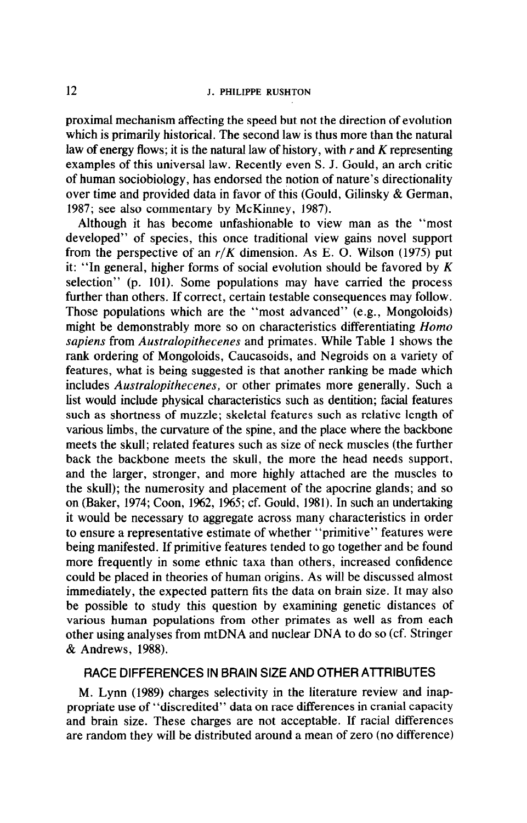proximal mechanism affecting the speed but not the direction of evolution which is primarily historical. The second law is thus more than the natural law of energy flows; it is the natural law of history, with  $r$  and  $K$  representing examples of this universal law. Recently even S. J. Gould, an arch critic of human sociobiology, has endorsed the notion of nature's directionality over time and provided data in favor of this (Gould, Gilinsky & German, 1987; see also commentary by McKinney, 1987).

Although it has become unfashionable to view man as the "most developed" of species, this once traditional view gains novel support from the perspective of an  $r/K$  dimension. As E. O. Wilson (1975) put it: "In general, higher forms of social evolution should be favored by K selection" (p. 101). Some populations may have carried the process further than others. If correct, certain testable consequences may follow. Those populations which are the "most advanced" (e.g., Mongoloids) might be demonstrably more so on characteristics differentiating Homo sapiens from Australopithecenes and primates. While Table 1 shows the rank ordering of Mongoloids, Caucasoids, and Negroids on a variety of features, what is being suggested is that another ranking be made which includes Australopithecenes, or other primates more generally. Such a list would include physical characteristics such as dentition; facial features such as shortness of muzzle; skeletal features such as relative length of various limbs, the curvature of the spine, and the place where the backbone meets the skull; related features such as size of neck muscles (the further back the backbone meets the skull, the more the head needs support, and the larger, stronger, and more highly attached are the muscles to the skull); the numerosity and placement of the apocrine glands; and so on (Baker, 1974; Coon, 1962, 1965; cf. Gould, 1981). In such an undertaking it would be necessary to aggregate across many characteristics in order to ensure a representative estimate of whether "primitive" features were being manifested. If primitive features tended to go together and be found more frequently in some ethnic taxa than others, increased confidence could be placed in theories of human origins. As will be discussed almost immediately, the expected pattern fits the data on brain size. It may also be possible to study this question by examining genetic distances of various human populations from other primates as well as from each other using analyses from mtDNA and nuclear DNA to do so (cf. Stringer & Andrews, 1988).

## RACE DIFFERENCES IN BRAIN SIZE AND OTHER ATTRIBUTES

M. Lynn (1989) charges selectivity in the literature review and inappropriate use of "discredited" data on race differences in cranial capacity and brain size. These charges are not acceptable. If racial differences are random they will be distributed around a mean of zero (no difference)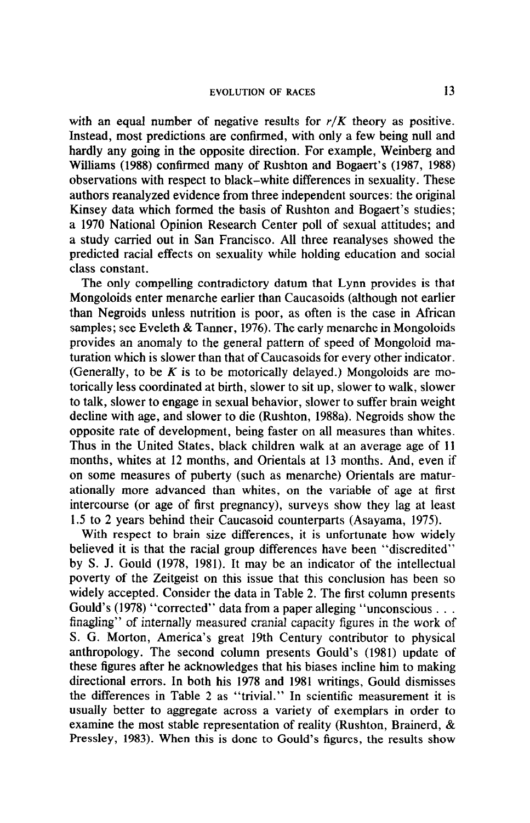with an equal number of negative results for  $r/K$  theory as positive. Instead, most predictions are confirmed, with only a few being null and hardly any going in the opposite direction. For example, Weinberg and Williams (1988) confirmed many of Rushton and Bogaert's (1987, 1988) observations with respect to black-white differences in sexuality. These authors reanalyzed evidence from three independent sources: the original Kinsey data which formed the basis of Rushton and Bogaert's studies; a 1970 National Opinion Research Center poll of sexual attitudes; and a study carried out in San Francisco. All three reanalyses showed the predicted racial effects on sexuality while holding education and social class constant.

The only compelling contradictory datum that Lynn provides is that Mongoloids enter menarche earlier than Caucasoids (although not earlier than Negroids unless nutrition is poor, as often is the case in African samples; see Eveleth & Tanner, 1976). The early menarche in Mongoloids provides an anomaly to the general pattern of speed of Mongoloid maturation which is slower than that of Caucasoids for every other indicator. (Generally, to be K is to be motorically delayed.) Mongoloids are motorically less coordinated at birth, slower to sit up, slower to walk, slower to talk, slower to engage in sexual behavior, slower to suffer brain weight decline with age, and slower to die (Rushton, 1988a). Negroids show the opposite rate of development, being faster on all measures than whites. Thus in the United States, black children walk at an average age of 11 months, whites at 12 months, and Orientals at 13 months. And, even if on some measures of puberty (such as menarche) Orientals are maturationally more advanced than whites, on the variable of age at first intercourse (or age of first pregnancy), surveys show they lag at least 1.5 to 2 years behind their Caucasoid counterparts (Asayama, 1975).

With respect to brain size differences, it is unfortunate how widely believed it is that the racial group differences have been "discredited" by S. J. Gould (1978, 1981). It may be an indicator of the intellectual poverty of the Zeitgeist on this issue that this conclusion has been so widely accepted. Consider the data in Table 2. The first column presents Gould's (1978) "corrected" data from a paper alleging "unconscious . . . finagling" of internally measured cranial capacity figures in the work of S. G. Morton, America's great 19th Century contributor to physical anthropology. The second column presents Gould's (1981) update of these figures after he acknowledges that his biases incline him to making directional errors. In both his 1978 and 1981 writings, Gould dismisses  $\frac{1}{2}$  as  $\frac{1}{2}$  as  $\frac{1}{2}$  as  $\frac{1}{2}$  as  $\frac{1}{2}$  as  $\frac{1}{2}$  as  $\frac{1}{2}$  measurement in  $\frac{1}{2}$  $\mu$  unclemes in raon  $\zeta$  as  $\mu$  variety of seigning in assurement it is usually better to aggregate across a variety of exemplars in order to examine the most stable representation of reality (Rushton, Brainerd,  $\&$ Pressley, 1983). When this is done to Gould's figures, the results show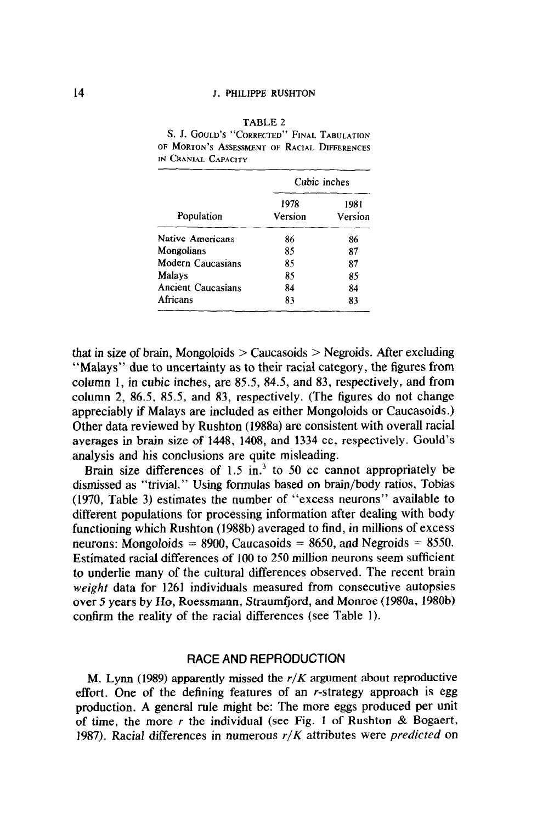|                          | Cubic inches    |                 |  |
|--------------------------|-----------------|-----------------|--|
| Population               | 1978<br>Version | 1981<br>Version |  |
| Native Americans         | 86              | 86              |  |
| Mongolians               | 85              | 87              |  |
| <b>Modern Caucasians</b> | 85              | 87              |  |
| <b>Malays</b>            | 85              | 85              |  |
| Ancient Caucasians       | 84              | 84              |  |
| Africans                 | 83              | 83              |  |
|                          |                 |                 |  |

#### TABLE 2

S. J. GOULD'S "CORRECTED" FINAL TABULATION OF MORTON'S ASSESSMENT OF RACIAL DIFFERENCES IN CRANIAL CAPACITY

that in size of brain, Mongoloids  $>$  Caucasoids  $>$  Negroids. After excluding "Malays" due to uncertainty as to their racial category, the figures from column 1, in cubic inches, are 85.5, 84.5, and 83, respectively, and from column 2, 86.5, 85.5, and 83, respectively. (The figures do not change appreciably if Malays are included as either Mongoloids or Caucasoids.) Other data reviewed by Rushton (1988a) are consistent with overall racial averages in brain size of 1448, 1408, and 1334 cc, respectively. Gould's analysis and his conclusions are quite misleading.

Brain size differences of  $1.5$  in.<sup>3</sup> to 50 cc cannot appropriately be dismissed as "trivial." Using formulas based on brain/body ratios, Tobias (1970, Table 3) estimates the number of "excess neurons" available to different populations for processing information after dealing with body unction populations to processing information atter dealing which ocay neuroning winen Rushton (19660) averaged to hid, in immons of excess neurons: Mongoloids =  $8900$ , Caucasoids =  $8650$ , and Negroids =  $8550$ .<br>Estimated racial differences of 100 to 250 million neurons seem sufficient  $\epsilon$ stinated racial differences of 100 to 250 million heurons seem support. w underlie many of the cultural differences observed. The recent oral weight data for 1261 individuals measured from consecutive autopsies over 5 years by Ho, Roessmann, Straumfjord, and Monroe (1980a, 1980b) confirm the reality of the racial differences (see Table 1).

# M. Lynn (1989) apparently missed the r/K argument about reproductive

M. Lynn (1989) apparently missed the  $r/K$  argument about reproductive effort. One of the defining features of an r-strategy approach is egg production. A general rule might be: The more eggs produced per unit of time, the more r the individual (see Fig. 1 of Rushton & Bogaert, 1987). Racial differences in numerous  $r/K$  attributes were predicted on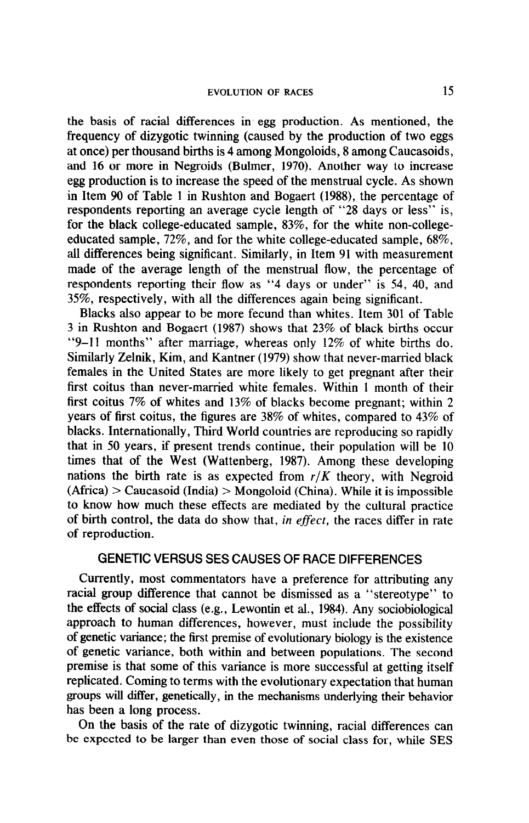the basis of racial differences in egg production. As mentioned, the frequency of dizygotic twinning (caused by the production of two eggs at once) per thousand births is 4 among Mongoloids, 8 among Caucasoids , and 16 or more in Negroids (Bulmer, 1970). Another way to increase egg production is to increase the speed of the menstrual cycle. As shown in Item 90 of Table 1 in Rushton and Bogaert (1988), the percentage of respondents reporting an average cycle length of "28 days or less" is, for the black college-educated sample, 83%, for the white non-collegeeducated sample, 72%, and for the white college-educated sample, 68%, all differences being significant. Similarly, in Item 91 with measurement made of the average length of the menstrual flow, the percentage of respondents reporting their flow as "4 days or under" is 54, 40, and 35%, respectively, with all the differences again being significant.

Blacks also appear to be more fecund than whites. Item 301 of Table 3 in Rushton and Bogaert (1987) shows that 23% of black births occur "9-11 months" after marriage, whereas only 12% of white births do. Similarly Zelnik, Kim, and Kantner (1979) show that never-married black females in the United States are more likely to get pregnant after their first coitus than never-married white females. Within 1 month of their first coitus 7% of whites and 13% of blacks become pregnant; within 2 years of first coitus, the figures are 38% of whites, compared to 43% of blacks. Internationally, Third World countries are reproducing so rapidly that in 50 years, if present trends continue, their population will be 10 times that of the West (Wattenberg, 1987). Among these developing nations the birth rate is as expected from  $r/K$  theory, with Negroid  $(A$ frica) > Caucasoid (India) > Mongoloid (China). While it is impossible to know how much these effects are mediated by the cultural practice of birth control, the data do show that, in effect, the races differ in rate of reproduction.

# GENETIC VERSUS SES CAUSES OF RACE DIFFERENCES

Currently, most commentators have a preference for attributing any racial group difference that cannot be dismissed as a "stereotype" to the effects of social class (e.g., Lewontin et al., 1984). Any sociobiological approach to human differences, however, must include the possibility of genetic variance; the first premise of evolutionary biology is the existence of genetic variance, both within and between populations. The second premise is that some of this variance is more successful at getting itself replicated. Coming to terms with the evolutionary expectation that human groups will differ, genetically, in the mechanisms underlying their behavior has been a long process.

On the basis of the rate of dizygotic twinning, racial differences can be expected to be larger than even those of social class for, while SES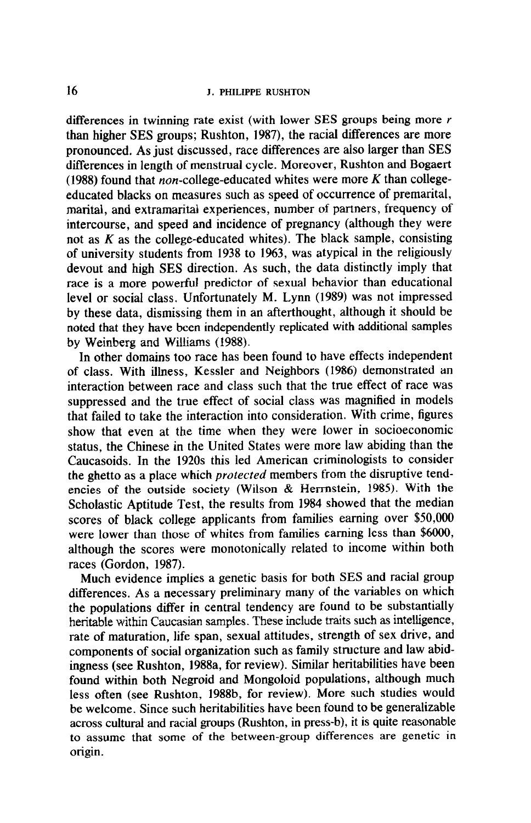differences in twinning rate exist (with lower SES groups being more  $r$ than higher SES groups; Rushton, 1987), the racial differences are more pronounced. As just discussed, race differences are also larger than SES differences in length of menstrual cycle. Moreover, Rushton and Bogaert (1988) found that *non*-college-educated whites were more K than collegeeducated blacks on measures such as speed of occurrence of premarital, marital, and extramarital experiences, number of partners, frequency of intercourse, and speed and incidence of pregnancy (although they were not as  $K$  as the college-educated whites). The black sample, consisting of university students from 1938 to 1963, was atypical in the religiously devout and high SES direction. As such, the data distinctly imply that race is a more powerful predictor of sexual behavior than educational level or social class. Unfortunately M. Lynn (1989) was not impressed by these data, dismissing them in an afterthought, although it should be noted that they have been independently replicated with additional samples by Weinberg and Williams (1988).

In other domains too race has been found to have effects independent of class. With illness, Kessler and Neighbors (1986) demonstrated an interaction between race and class such that the true effect of race was suppressed and the true effect of social class was magnified in models that failed to take the interaction into consideration. With crime, figures show that even at the time when they were lower in socioeconomic status, the Chinese in the United States were more law abiding than the Caucasoids. In the 1920s this led American criminologists to consider the ghetto as a place which *protected* members from the disruptive tendencies of the outside society (Wilson & Hermstein, 1985). With the Scholastic Aptitude Test, the results from 1984 showed that the median scores of black college applicants from families earning over \$50,000 were lower than those of whites from families earning less than \$6000, although the scores were monotonically related to income within both races (Gordon, 1987).

Much evidence implies a genetic basis for both SES and racial group differences. As a necessary preliminary many of the variables on which the populations differ in central tendency are found to be substantially heritable within Caucasian samples. These include traits such as intelligence, rate of maturation, life span, sexual attitudes, strength of sex drive, and components of social organization such as family structure and law abidingness (see Rushton, 1988a, for review). Similar heritabilities have been found within both Negroid and Mongoloid populations, although much less often (see Rushton, 1988b, for review). More such studies would be welcome. Since such heritabilities have been found to be generalizable across cultural and racial groups (Rushton, in press-b), it is quite reasonable  $\mu$  as the some of the between-group differences are generic in origin.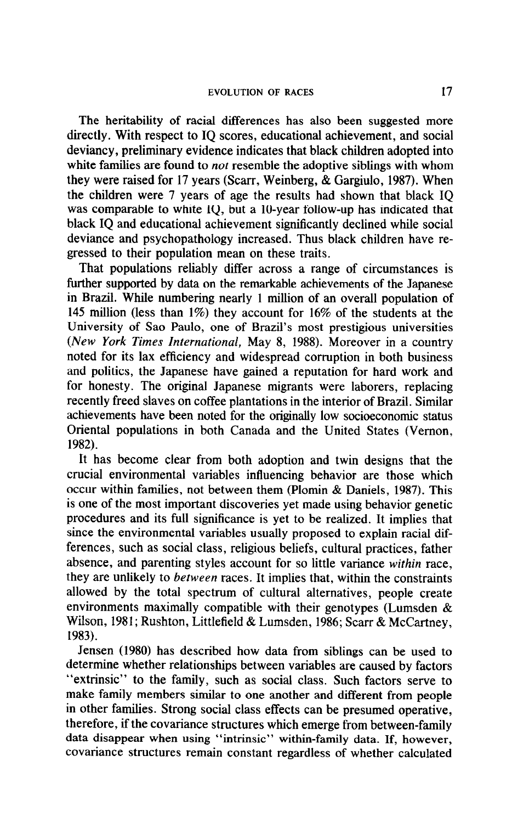The heritability of racial differences has also been suggested more directly. With respect to IQ scores, educational achievement, and social deviancy, preliminary evidence indicates that black children adopted into white families are found to *not* resemble the adoptive siblings with whom they were raised for 17 years (Scarr, Weinberg, & Gargiulo, 1987). When the children were 7 years of age the results had shown that black IQ was comparable to white IQ, but a IO-year follow-up has indicated that black IQ and educational achievement significantly declined while social deviance and psychopathology increased. Thus black children have regressed to their population mean on these traits.

That populations reliably differ across a range of circumstances is further supported by data on the remarkable achievements of the Japanese in Brazil. While numbering nearly 1 million of an overall population of 145 million (less than 1%) they account for 16% of the students at the University of Sao Paulo, one of Brazil's most prestigious universities (New York Times International, May 8, 1988). Moreover in a country noted for its lax efficiency and widespread corruption in both business and politics, the Japanese have gained a reputation for hard work and for honesty. The original Japanese migrants were laborers, replacing recently freed slaves on coffee plantations in the interior of Brazil. Similar achievements have been noted for the originally low socioeconomic status Oriental populations in both Canada and the United States (Vernon, 1982).

It has become clear from both adoption and twin designs that the crucial environmental variables influencing behavior are those which occur within families, not between them (Plomin & Daniels, 1987). This is one of the most important discoveries yet made using behavior genetic procedures and its full significance is yet to be realized. It implies that since the environmental variables usually proposed to explain racial differences, such as social class, religious beliefs, cultural practices, father absence, and parenting styles account for so little variance within race, they are unlikely to between races. It implies that, within the constraints allowed by the total spectrum of cultural alternatives, people create environments maximally compatible with their genotypes (Lumsden & Wilson, 1981; Rushton, Littlefield & Lumsden, 1986; Scarr & McCartney, 1983).

Jensen (1980) has described how data from siblings can be used to determine whether relationships between variables are caused by factors "extrinsic" to the family, such as social class. Such factors serve to make family members similar to one another and different from people in other families. Strong social class effects can be presumed operative, therefore, if the covariance structures which emerge from between-family data disappear when using "intrinsic" within-family data. If, however, covariance structures remain constant regardless of whether calculated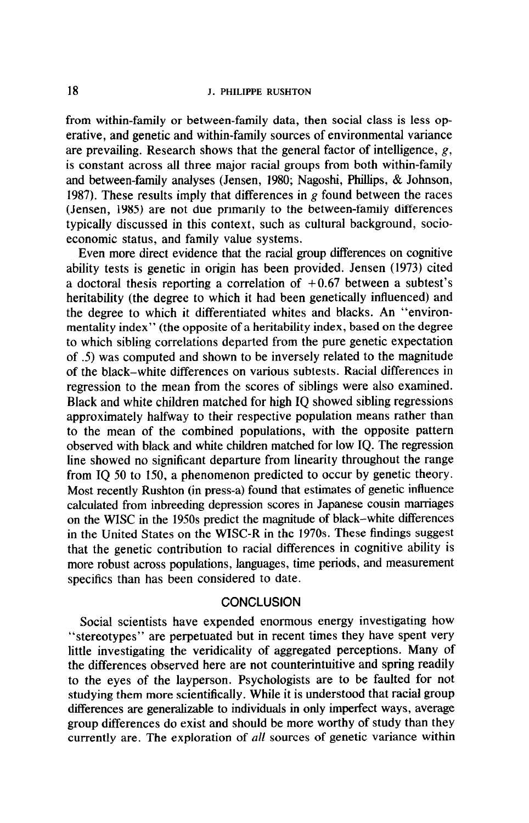from within-family or between-family data, then social class is less operative, and genetic and within-family sources of environmental variance are prevailing. Research shows that the general factor of intelligence,  $g$ , is constant across all three major racial groups from both within-family and between-family analyses (Jensen, 1980; Nagoshi, Phillips, & Johnson, 1987). These results imply that differences in  $\varrho$  found between the races (Jensen, 1985) are not due primarily to the between-family differences typically discussed in this context, such as cultural background, socioeconomic status, and family value systems.

Even more direct evidence that the racial group differences on cognitive ability tests is genetic in origin has been provided. Jensen (1973) cited a doctoral thesis reporting a correlation of  $+0.67$  between a subtest's heritability (the degree to which it had been genetically influenced) and the degree to which it differentiated whites and blacks. An "environmentality index" (the opposite of a heritability index, based on the degree to which sibling correlations departed from the pure genetic expectation of S) was computed and shown to be inversely related to the magnitude of the black-white differences on various subtests. Racial differences in regression to the mean from the scores of siblings were also examined. Black and white children matched for high IQ showed sibling regressions approximately halfway to their respective population means rather than to the mean of the combined populations, with the opposite pattern observed with black and white children matched for low IQ. The regression line showed no significant departure from linearity throughout the range from IQ 50 to 150, a phenomenon predicted to occur by genetic theory. Most recently Rushton (in press-a) found that estimates of genetic influence calculated from inbreeding depression scores in Japanese cousin marriages on the WISC in the 1950s predict the magnitude of black-white differences in the United States on the WISC-R in the 1970s. These findings suggest that the genetic contribution to racial differences in cognitive ability is more robust across populations, languages, time periods, and measurement specifics than has been considered to date.

#### **CONCLUSION**

Social scientists have expended enormous energy investigating how "stereotypes" are perpetuated but in recent times they have spent very little investigating the veridicality of aggregated perceptions. Many of the differences observed here are not counterintuitive and spring readily to the eyes of the layperson. Psychologists are to be faulted for not studying them more scientifically. While it is understood that racial group differences are generalizable to individuals in only imperfect ways, average group differences do exist and should be more worthy of study than they currently are. The exploration of all sources of genetic variance within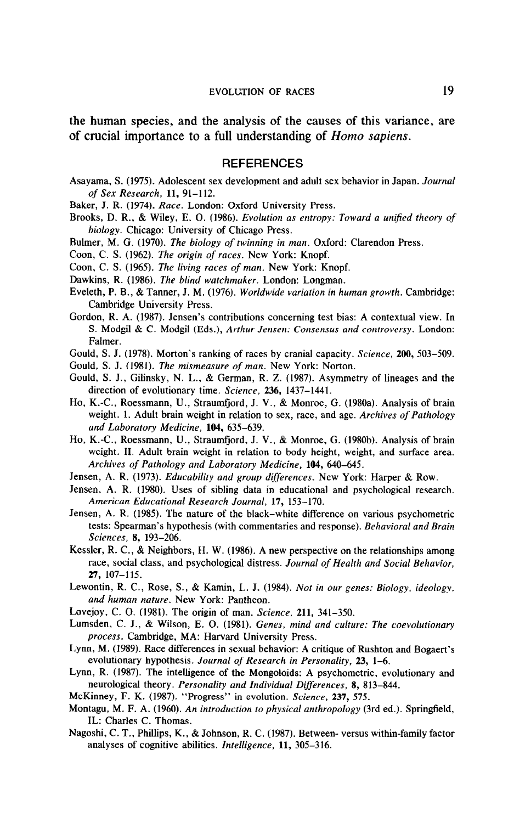#### EVOLUTION OF RACES 19

the human species, and the analysis of the causes of this variance, are of crucial importance to a full understanding of Homo sapiens.

#### **REFERENCES**

- Asayama. S. (1975). Adolescent sex development and adult sex behavior in Japan. Journal of Sex Research, 11, 91-112.
- Baker, J. R. (1974). Race. London: Oxford University Press.
- Brooks, D. R., & Wiley, E. 0. (1986). Evolution as entropy: Toward a unified theory of biology. Chicago: University of Chicago Press.
- Bulmer, M. G. (1970). The biology of twinning in man. Oxford: Clarendon Press.
- Coon, C. S. (1962). The origin of races. New York: Knopf.
- Coon, C. S. (1965). The living races of man. New York: Knopf.
- Dawkins, R. (1986). The blind watchmaker. London: Longman.
- Eveleth, P. B., & Tanner, J. M. (1976). Worldwide variation in human growth. Cambridge: Cambridge University Press.
- Gordon, R. A. (1987). Jensen's contributions concerning test bias: A contextual view. In S. Modgil & C. Modgil (Eds.), Arthur Jensen: Consensus and controversy. London: Falmer.
- Gould, S. J. (1978). Morton's ranking of races by cranial capacity. Science, 200, 503-509.
- Gould, S. J. (1981). The mismeasure of man. New York: Norton.
- Gould, S. J., Gilinsky, N. L., & German, R. 2. (1987). Asymmetry of lineages and the direction of evolutionary time. Science, 236, 1437-1441.
- Ho, K.-C., Roessmann, U., Straumfjord, J. V., & Monroe, G. (1980a). Analysis of brain weight. 1. Adult brain weight in relation to sex, race, and age. Archives of Pathology and Laboratory Medicine, 104, 635-639.
- Ho, K.-C., Roessmann, U., Straumfjord, J. V., & Monroe, G. (1980b). Analysis of brain weight. II. Adult brain weight in relation to body height, weight, and surface area. Archives of Pathology and Laboratory Medicine, 104, 640-645.
- Jensen, A. R. (1973). Educability and group differences. New York: Harper & Row.
- Jensen, A. R. (1980). Uses of sibling data in educational and psychological research. American Educational Research Journal, 17, 153-170.
- Jensen, A. R. (1985). The nature of the black-white difference on various psychometric tests: Spearman's hypothesis (with commentaries and response). Behavioral and Brain Sciences, 8, 193-206.
- Kessler, R. C., & Neighbors, H. W. (1986). A new perspective on the relationships among race, social class, and psychological distress. Journal of Health and Social Behavior, 27, 107-I 15.
- Lewontin, R. C., Rose, S., & Kamin, L. J. (1984). Nor in our genes: Biology, ideology. and human nature. New York: Pantheon.  $\frac{1}{2}$  and names man. Stew Tom. Temporal.
- Lumsden, C. O. (1981). The origin of man, Science, 211,  $941-330$ .
- Lumsden, C. J., & Wilson, E. O. (1981). Genes, mind and culture: The coevolutionary process. Cambridge, MA: Harvard University Press. process. Cambridge, M. Harvard University Fress.
- $\mu$ ,  $\mu$ ,  $(1, 2, 3, 7)$ . Kace unterences in Sexual of Research in Personality,  $\mu$ evolutionary hypothesis. Journal of Research in Personality, 23, 1-6.
- Lynn, R. (1987). The intelligence of the Mongoloids: A psychometric, evolutionary and neurological theory. Personality and Individual Differences, 8, 813-844.
- McKinney, F. K. (1987). "Progress" in evolution. Science, 237, 575.
- Montagu, M. F. A. (1960). An introduction to physical anthropology (3rd ed.). Springfield, IL: Charles C. Thomas.  $N<sub>1</sub>$ . Charles C. Thomas,  $N<sub>2</sub>$
- $\alpha$ snities. Intelliguence, K., & Johnson, K. C. (1987). Betweer